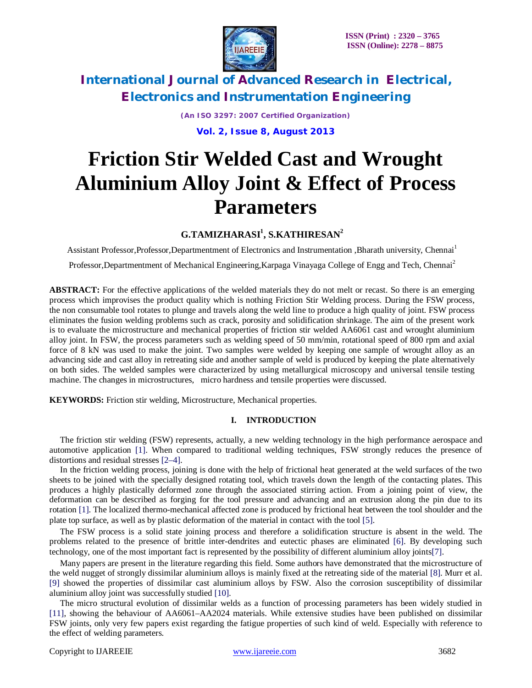

*(An ISO 3297: 2007 Certified Organization)*

**Vol. 2, Issue 8, August 2013**

# **Friction Stir Welded Cast and Wrought Aluminium Alloy Joint & Effect of Process Parameters**

### **G.TAMIZHARASI<sup>1</sup> , S.KATHIRESAN<sup>2</sup>**

Assistant Professor,Professor,Departmentment of Electronics and Instrumentation ,Bharath university, Chennai<sup>1</sup>

Professor,Departmentment of Mechanical Engineering,Karpaga Vinayaga College of Engg and Tech, Chennai<sup>2</sup>

**ABSTRACT:** For the effective applications of the welded materials they do not melt or recast. So there is an emerging process which improvises the product quality which is nothing Friction Stir Welding process. During the FSW process, the non consumable tool rotates to plunge and travels along the weld line to produce a high quality of joint. FSW process eliminates the fusion welding problems such as crack, porosity and solidification shrinkage. The aim of the present work is to evaluate the microstructure and mechanical properties of friction stir welded AA6061 cast and wrought aluminium alloy joint. In FSW, the process parameters such as welding speed of 50 mm/min, rotational speed of 800 rpm and axial force of 8 kN was used to make the joint. Two samples were welded by keeping one sample of wrought alloy as an advancing side and cast alloy in retreating side and another sample of weld is produced by keeping the plate alternatively on both sides. The welded samples were characterized by using metallurgical microscopy and universal tensile testing machine. The changes in microstructures, micro hardness and tensile properties were discussed.

**KEYWORDS:** Friction stir welding, Microstructure, Mechanical properties.

#### **I. INTRODUCTION**

The friction stir welding (FSW) represents, actually, a new welding technology in the high performance aerospace and automotive application [1]. When compared to traditional welding techniques, FSW strongly reduces the presence of distortions and residual stresses [2–4].

In the friction welding process, joining is done with the help of frictional heat generated at the weld surfaces of the two sheets to be joined with the specially designed rotating tool, which travels down the length of the contacting plates. This produces a highly plastically deformed zone through the associated stirring action. From a joining point of view, the deformation can be described as forging for the tool pressure and advancing and an extrusion along the pin due to its rotation [1]. The localized thermo-mechanical affected zone is produced by frictional heat between the tool shoulder and the plate top surface, as well as by plastic deformation of the material in contact with the tool [5].

The FSW process is a solid state joining process and therefore a solidification structure is absent in the weld. The problems related to the presence of brittle inter-dendrites and eutectic phases are eliminated [6]. By developing such technology, one of the most important fact is represented by the possibility of different aluminium alloy joints[7].

Many papers are present in the literature regarding this field. Some authors have demonstrated that the microstructure of the weld nugget of strongly dissimilar aluminium alloys is mainly fixed at the retreating side of the material [8]. Murr et al. [9] showed the properties of dissimilar cast aluminium alloys by FSW. Also the corrosion susceptibility of dissimilar aluminium alloy joint was successfully studied [10].

The micro structural evolution of dissimilar welds as a function of processing parameters has been widely studied in [11], showing the behaviour of AA6061–AA2024 materials. While extensive studies have been published on dissimilar FSW joints, only very few papers exist regarding the fatigue properties of such kind of weld. Especially with reference to the effect of welding parameters.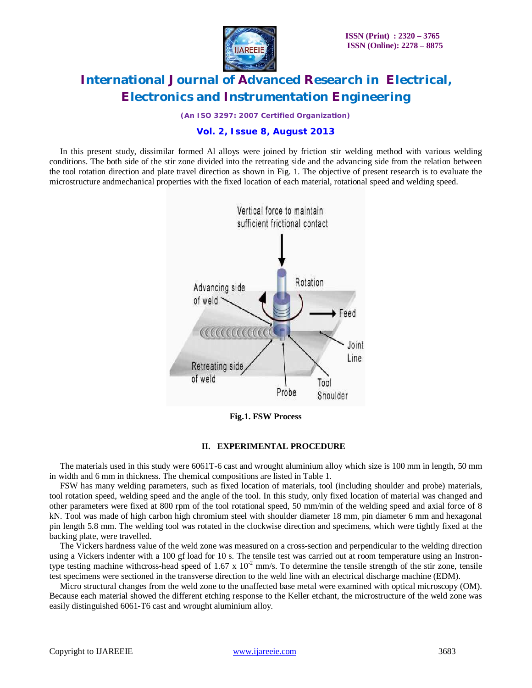

*(An ISO 3297: 2007 Certified Organization)*

### **Vol. 2, Issue 8, August 2013**

In this present study, dissimilar formed Al alloys were joined by friction stir welding method with various welding conditions. The both side of the stir zone divided into the retreating side and the advancing side from the relation between the tool rotation direction and plate travel direction as shown in Fig. 1. The objective of present research is to evaluate the microstructure andmechanical properties with the fixed location of each material, rotational speed and welding speed.



**Fig.1. FSW Process**

#### **II. EXPERIMENTAL PROCEDURE**

The materials used in this study were 6061T-6 cast and wrought aluminium alloy which size is 100 mm in length, 50 mm in width and 6 mm in thickness. The chemical compositions are listed in Table 1.

FSW has many welding parameters, such as fixed location of materials, tool (including shoulder and probe) materials, tool rotation speed, welding speed and the angle of the tool. In this study, only fixed location of material was changed and other parameters were fixed at 800 rpm of the tool rotational speed, 50 mm/min of the welding speed and axial force of 8 kN. Tool was made of high carbon high chromium steel with shoulder diameter 18 mm, pin diameter 6 mm and hexagonal pin length 5.8 mm. The welding tool was rotated in the clockwise direction and specimens, which were tightly fixed at the backing plate, were travelled.

The Vickers hardness value of the weld zone was measured on a cross-section and perpendicular to the welding direction using a Vickers indenter with a 100 gf load for 10 s. The tensile test was carried out at room temperature using an Instrontype testing machine withcross-head speed of  $1.67 \times 10^{-2}$  mm/s. To determine the tensile strength of the stir zone, tensile test specimens were sectioned in the transverse direction to the weld line with an electrical discharge machine (EDM).

Micro structural changes from the weld zone to the unaffected base metal were examined with optical microscopy (OM). Because each material showed the different etching response to the Keller etchant, the microstructure of the weld zone was easily distinguished 6061-T6 cast and wrought aluminium alloy.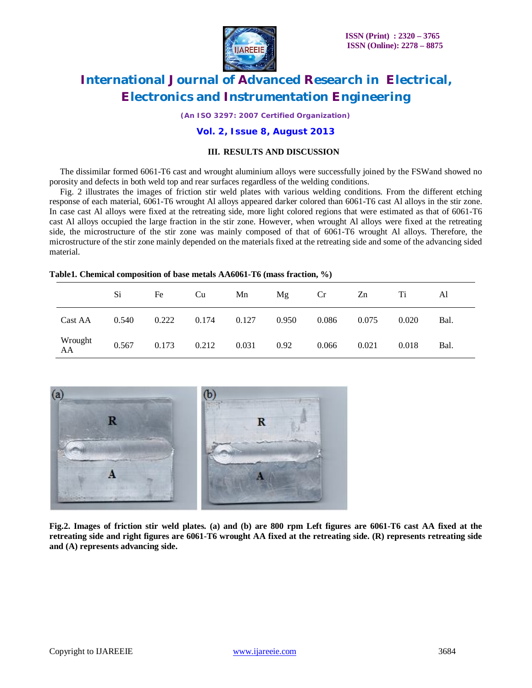

*(An ISO 3297: 2007 Certified Organization)*

#### **Vol. 2, Issue 8, August 2013**

#### **III. RESULTS AND DISCUSSION**

The dissimilar formed 6061-T6 cast and wrought aluminium alloys were successfully joined by the FSWand showed no porosity and defects in both weld top and rear surfaces regardless of the welding conditions.

Fig. 2 illustrates the images of friction stir weld plates with various welding conditions. From the different etching response of each material, 6061-T6 wrought Al alloys appeared darker colored than 6061-T6 cast Al alloys in the stir zone. In case cast Al alloys were fixed at the retreating side, more light colored regions that were estimated as that of 6061-T6 cast Al alloys occupied the large fraction in the stir zone. However, when wrought Al alloys were fixed at the retreating side, the microstructure of the stir zone was mainly composed of that of 6061-T6 wrought Al alloys. Therefore, the microstructure of the stir zone mainly depended on the materials fixed at the retreating side and some of the advancing sided material.

#### **Table1. Chemical composition of base metals AA6061-T6 (mass fraction, %)**

|               | Si    | Fe    | Cu    | Mn    | Mg    | Cr    | Zn    | Ti    | Al   |
|---------------|-------|-------|-------|-------|-------|-------|-------|-------|------|
| Cast AA       | 0.540 | 0.222 | 0.174 | 0.127 | 0.950 | 0.086 | 0.075 | 0.020 | Bal. |
| Wrought<br>AA | 0.567 | 0.173 | 0.212 | 0.031 | 0.92  | 0.066 | 0.021 | 0.018 | Bal. |



**Fig.2. Images of friction stir weld plates. (a) and (b) are 800 rpm Left figures are 6061-T6 cast AA fixed at the retreating side and right figures are 6061-T6 wrought AA fixed at the retreating side. (R) represents retreating side and (A) represents advancing side.**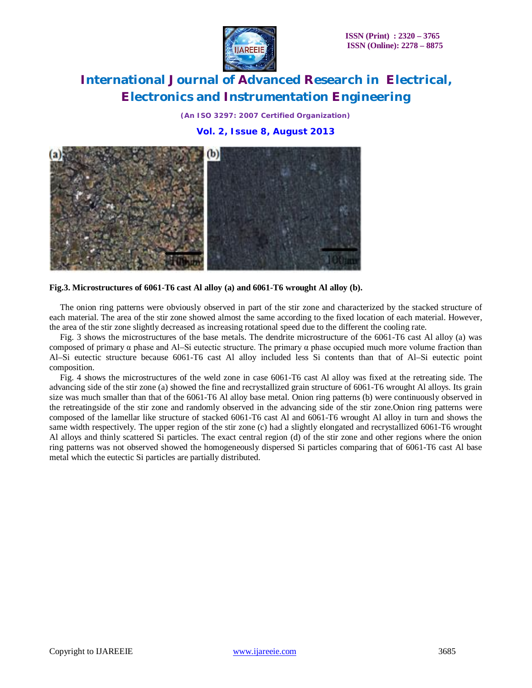*(An ISO 3297: 2007 Certified Organization)*

**Vol. 2, Issue 8, August 2013**



**Fig.3. Microstructures of 6061-T6 cast Al alloy (a) and 6061-T6 wrought Al alloy (b).**

The onion ring patterns were obviously observed in part of the stir zone and characterized by the stacked structure of each material. The area of the stir zone showed almost the same according to the fixed location of each material. However, the area of the stir zone slightly decreased as increasing rotational speed due to the different the cooling rate.

Fig. 3 shows the microstructures of the base metals. The dendrite microstructure of the 6061-T6 cast Al alloy (a) was composed of primary α phase and Al–Si eutectic structure. The primary α phase occupied much more volume fraction than Al–Si eutectic structure because 6061-T6 cast Al alloy included less Si contents than that of Al–Si eutectic point composition.

Fig. 4 shows the microstructures of the weld zone in case 6061-T6 cast Al alloy was fixed at the retreating side. The advancing side of the stir zone (a) showed the fine and recrystallized grain structure of 6061-T6 wrought Al alloys. Its grain size was much smaller than that of the 6061-T6 Al alloy base metal. Onion ring patterns (b) were continuously observed in the retreatingside of the stir zone and randomly observed in the advancing side of the stir zone.Onion ring patterns were composed of the lamellar like structure of stacked 6061-T6 cast Al and 6061-T6 wrought Al alloy in turn and shows the same width respectively. The upper region of the stir zone (c) had a slightly elongated and recrystallized 6061-T6 wrought Al alloys and thinly scattered Si particles. The exact central region (d) of the stir zone and other regions where the onion ring patterns was not observed showed the homogeneously dispersed Si particles comparing that of 6061-T6 cast Al base metal which the eutectic Si particles are partially distributed.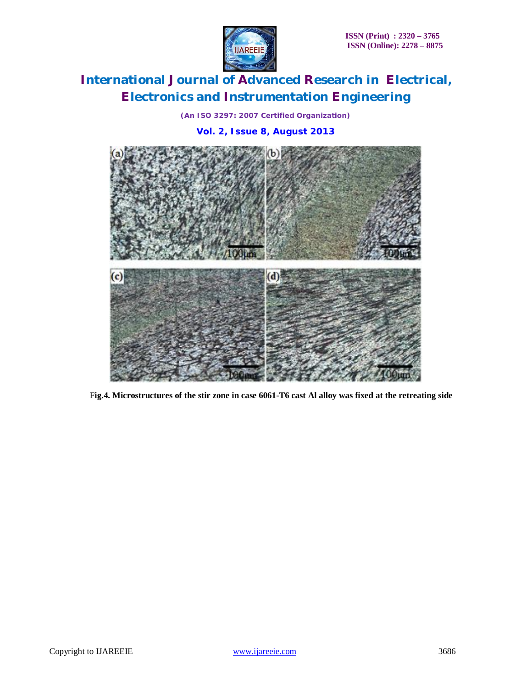

*(An ISO 3297: 2007 Certified Organization)*

### **Vol. 2, Issue 8, August 2013**



F**ig.4. Microstructures of the stir zone in case 6061-T6 cast Al alloy was fixed at the retreating side**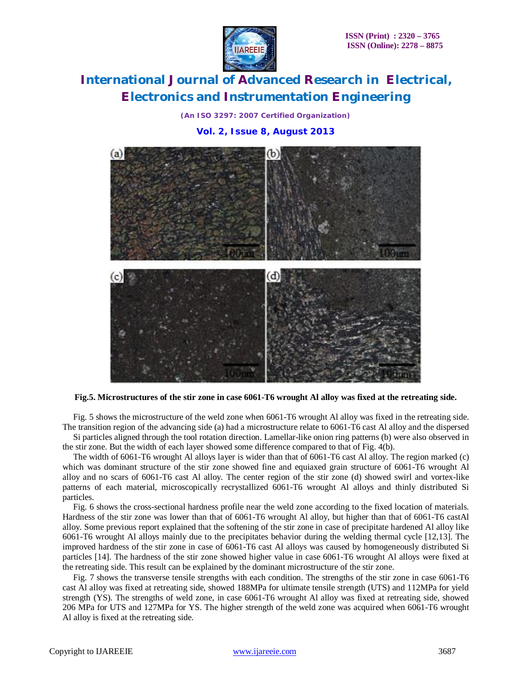*(An ISO 3297: 2007 Certified Organization)*

### **Vol. 2, Issue 8, August 2013**



#### **Fig.5. Microstructures of the stir zone in case 6061-T6 wrought Al alloy was fixed at the retreating side.**

Fig. 5 shows the microstructure of the weld zone when 6061-T6 wrought Al alloy was fixed in the retreating side. The transition region of the advancing side (a) had a microstructure relate to 6061-T6 cast Al alloy and the dispersed

Si particles aligned through the tool rotation direction. Lamellar-like onion ring patterns (b) were also observed in the stir zone. But the width of each layer showed some difference compared to that of Fig. 4(b).

The width of 6061-T6 wrought Al alloys layer is wider than that of 6061-T6 cast Al alloy. The region marked (c) which was dominant structure of the stir zone showed fine and equiaxed grain structure of 6061-T6 wrought Al alloy and no scars of 6061-T6 cast Al alloy. The center region of the stir zone (d) showed swirl and vortex-like patterns of each material, microscopically recrystallized 6061-T6 wrought Al alloys and thinly distributed Si particles.

Fig. 6 shows the cross-sectional hardness profile near the weld zone according to the fixed location of materials. Hardness of the stir zone was lower than that of 6061-T6 wrought Al alloy, but higher than that of 6061-T6 castAl alloy. Some previous report explained that the softening of the stir zone in case of precipitate hardened Al alloy like 6061-T6 wrought Al alloys mainly due to the precipitates behavior during the welding thermal cycle [12,13]. The improved hardness of the stir zone in case of 6061-T6 cast Al alloys was caused by homogeneously distributed Si particles [14]. The hardness of the stir zone showed higher value in case 6061-T6 wrought Al alloys were fixed at the retreating side. This result can be explained by the dominant microstructure of the stir zone.

Fig. 7 shows the transverse tensile strengths with each condition. The strengths of the stir zone in case 6061-T6 cast Al alloy was fixed at retreating side, showed 188MPa for ultimate tensile strength (UTS) and 112MPa for yield strength (YS). The strengths of weld zone, in case 6061-T6 wrought Al alloy was fixed at retreating side, showed 206 MPa for UTS and 127MPa for YS. The higher strength of the weld zone was acquired when 6061-T6 wrought Al alloy is fixed at the retreating side.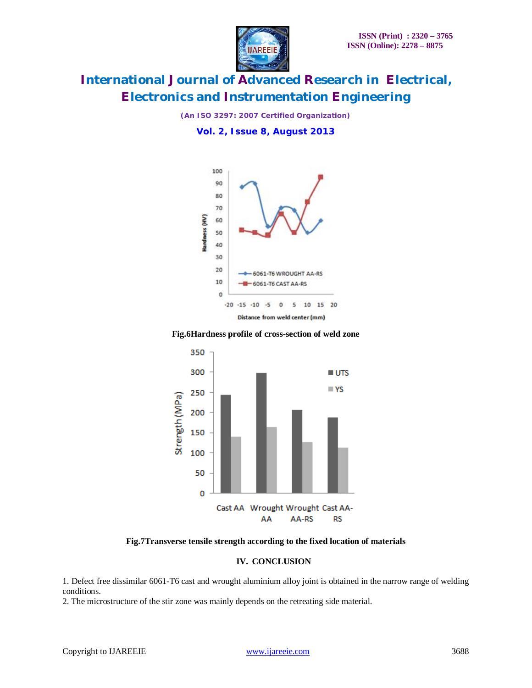

*(An ISO 3297: 2007 Certified Organization)*

**Vol. 2, Issue 8, August 2013**



#### **Fig.6Hardness profile of cross-section of weld zone**



**Fig.7Transverse tensile strength according to the fixed location of materials**

### **IV. CONCLUSION**

1. Defect free dissimilar 6061-T6 cast and wrought aluminium alloy joint is obtained in the narrow range of welding conditions.

2. The microstructure of the stir zone was mainly depends on the retreating side material.